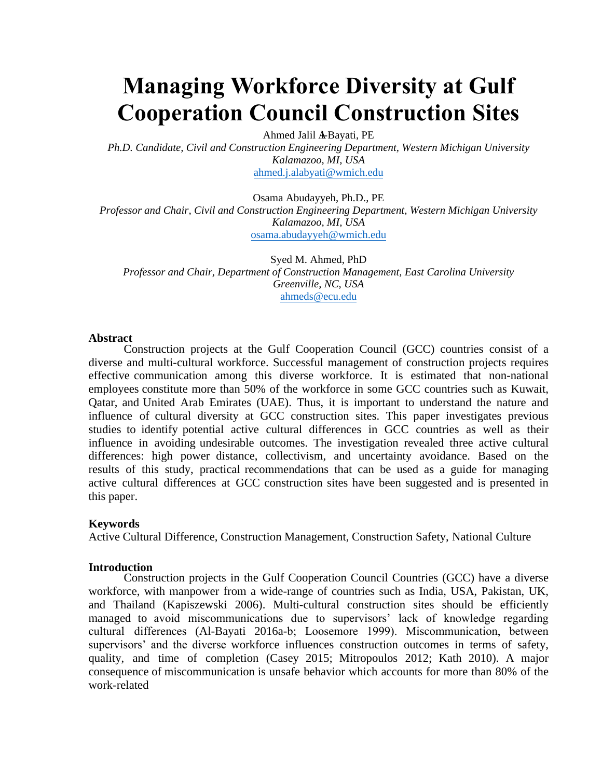# **Managing Workforce Diversity at Gulf Cooperation Council Construction Sites**

Ahmed Jalil A-Bayati, PE

*Ph.D. Candidate, Civil and Construction Engineering Department, Western Michigan University Kalamazoo, MI, USA*  [ahmed.j.alabyati@wmich.edu](mailto:ahmed.j.alabyati@wmich.edu)

Osama Abudayyeh, Ph.D., PE *Professor and Chair, Civil and Construction Engineering Department, Western Michigan University Kalamazoo, MI, USA*  [osama.abudayyeh@wmich.edu](mailto:osama.abudayyeh@wmich.edu)

Syed M. Ahmed, PhD *Professor and Chair, Department of Construction Management, East Carolina University Greenville, NC, USA*  [ahmeds@ecu.edu](mailto:ahmeds@ecu.edu)

#### **Abstract**

Construction projects at the Gulf Cooperation Council (GCC) countries consist of a diverse and multi-cultural workforce. Successful management of construction projects requires effective communication among this diverse workforce. It is estimated that non-national employees constitute more than 50% of the workforce in some GCC countries such as Kuwait, Qatar, and United Arab Emirates (UAE). Thus, it is important to understand the nature and influence of cultural diversity at GCC construction sites. This paper investigates previous studies to identify potential active cultural differences in GCC countries as well as their influence in avoiding undesirable outcomes. The investigation revealed three active cultural differences: high power distance, collectivism, and uncertainty avoidance. Based on the results of this study, practical recommendations that can be used as a guide for managing active cultural differences at GCC construction sites have been suggested and is presented in this paper.

#### **Keywords**

Active Cultural Difference, Construction Management, Construction Safety, National Culture

#### **Introduction**

Construction projects in the Gulf Cooperation Council Countries (GCC) have a diverse workforce, with manpower from a wide-range of countries such as India, USA, Pakistan, UK, and Thailand (Kapiszewski 2006). Multi-cultural construction sites should be efficiently managed to avoid miscommunications due to supervisors' lack of knowledge regarding cultural differences (Al-Bayati 2016a-b; Loosemore 1999). Miscommunication, between supervisors' and the diverse workforce influences construction outcomes in terms of safety, quality, and time of completion (Casey 2015; Mitropoulos 2012; Kath 2010). A major consequence of miscommunication is unsafe behavior which accounts for more than 80% of the work-related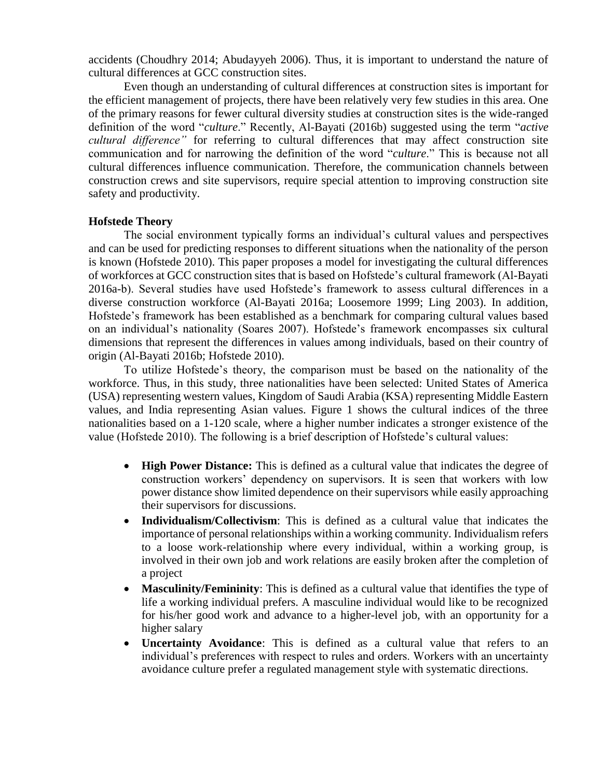accidents (Choudhry 2014; Abudayyeh 2006). Thus, it is important to understand the nature of cultural differences at GCC construction sites.

Even though an understanding of cultural differences at construction sites is important for the efficient management of projects, there have been relatively very few studies in this area. One of the primary reasons for fewer cultural diversity studies at construction sites is the wide-ranged definition of the word "*culture*." Recently, Al-Bayati (2016b) suggested using the term "*active cultural difference"* for referring to cultural differences that may affect construction site communication and for narrowing the definition of the word "*culture*." This is because not all cultural differences influence communication. Therefore, the communication channels between construction crews and site supervisors, require special attention to improving construction site safety and productivity.

### **Hofstede Theory**

The social environment typically forms an individual's cultural values and perspectives and can be used for predicting responses to different situations when the nationality of the person is known (Hofstede 2010). This paper proposes a model for investigating the cultural differences of workforces at GCC construction sites that is based on Hofstede's cultural framework (Al-Bayati 2016a-b). Several studies have used Hofstede's framework to assess cultural differences in a diverse construction workforce (Al-Bayati 2016a; Loosemore 1999; Ling 2003). In addition, Hofstede's framework has been established as a benchmark for comparing cultural values based on an individual's nationality (Soares 2007). Hofstede's framework encompasses six cultural dimensions that represent the differences in values among individuals, based on their country of origin (Al-Bayati 2016b; Hofstede 2010).

To utilize Hofstede's theory, the comparison must be based on the nationality of the workforce. Thus, in this study, three nationalities have been selected: United States of America (USA) representing western values, Kingdom of Saudi Arabia (KSA) representing Middle Eastern values, and India representing Asian values. Figure 1 shows the cultural indices of the three nationalities based on a 1-120 scale, where a higher number indicates a stronger existence of the value (Hofstede 2010). The following is a brief description of Hofstede's cultural values:

- **High Power Distance:** This is defined as a cultural value that indicates the degree of construction workers' dependency on supervisors. It is seen that workers with low power distance show limited dependence on their supervisors while easily approaching their supervisors for discussions.
- **Individualism/Collectivism**: This is defined as a cultural value that indicates the importance of personal relationships within a working community. Individualism refers to a loose work-relationship where every individual, within a working group, is involved in their own job and work relations are easily broken after the completion of a project
- **Masculinity/Femininity**: This is defined as a cultural value that identifies the type of life a working individual prefers. A masculine individual would like to be recognized for his/her good work and advance to a higher-level job, with an opportunity for a higher salary
- **Uncertainty Avoidance**: This is defined as a cultural value that refers to an individual's preferences with respect to rules and orders. Workers with an uncertainty avoidance culture prefer a regulated management style with systematic directions.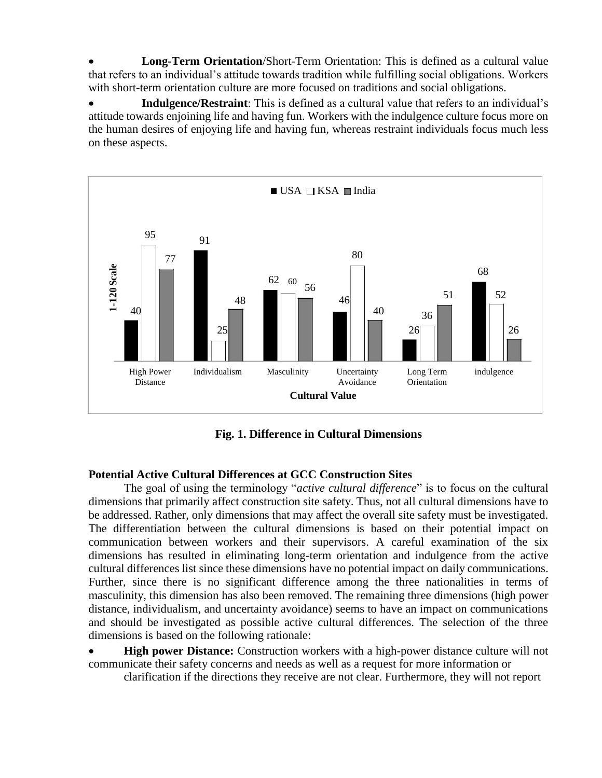**Long-Term Orientation**/Short-Term Orientation: This is defined as a cultural value that refers to an individual's attitude towards tradition while fulfilling social obligations. Workers with short-term orientation culture are more focused on traditions and social obligations.

 **Indulgence/Restraint**: This is defined as a cultural value that refers to an individual's attitude towards enjoining life and having fun. Workers with the indulgence culture focus more on the human desires of enjoying life and having fun, whereas restraint individuals focus much less on these aspects.



**Fig. 1. Difference in Cultural Dimensions**

# **Potential Active Cultural Differences at GCC Construction Sites**

The goal of using the terminology "*active cultural difference*" is to focus on the cultural dimensions that primarily affect construction site safety. Thus, not all cultural dimensions have to be addressed. Rather, only dimensions that may affect the overall site safety must be investigated. The differentiation between the cultural dimensions is based on their potential impact on communication between workers and their supervisors. A careful examination of the six dimensions has resulted in eliminating long-term orientation and indulgence from the active cultural differences list since these dimensions have no potential impact on daily communications. Further, since there is no significant difference among the three nationalities in terms of masculinity, this dimension has also been removed. The remaining three dimensions (high power distance, individualism, and uncertainty avoidance) seems to have an impact on communications and should be investigated as possible active cultural differences. The selection of the three dimensions is based on the following rationale:

**High power Distance:** Construction workers with a high-power distance culture will not communicate their safety concerns and needs as well as a request for more information or

clarification if the directions they receive are not clear. Furthermore, they will not report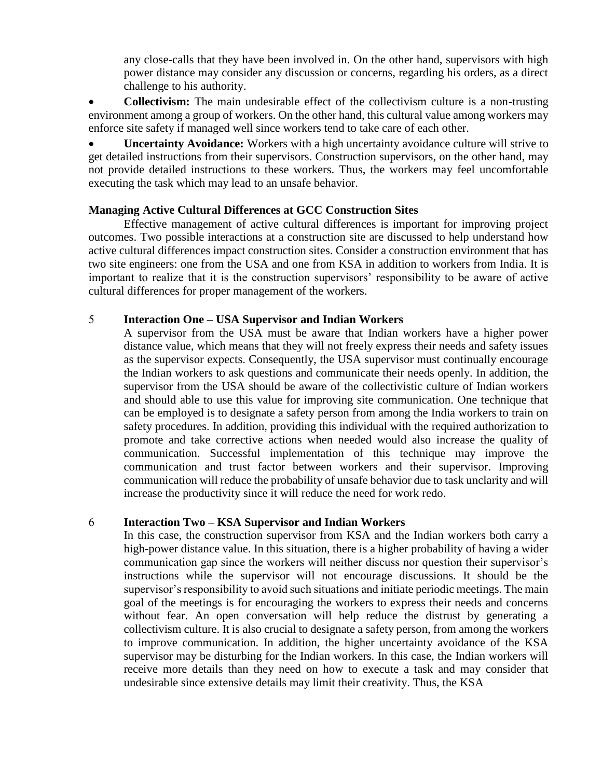any close-calls that they have been involved in. On the other hand, supervisors with high power distance may consider any discussion or concerns, regarding his orders, as a direct challenge to his authority.

• **Collectivism:** The main undesirable effect of the collectivism culture is a non-trusting environment among a group of workers. On the other hand, this cultural value among workers may enforce site safety if managed well since workers tend to take care of each other.

 **Uncertainty Avoidance:** Workers with a high uncertainty avoidance culture will strive to get detailed instructions from their supervisors. Construction supervisors, on the other hand, may not provide detailed instructions to these workers. Thus, the workers may feel uncomfortable executing the task which may lead to an unsafe behavior.

## **Managing Active Cultural Differences at GCC Construction Sites**

Effective management of active cultural differences is important for improving project outcomes. Two possible interactions at a construction site are discussed to help understand how active cultural differences impact construction sites. Consider a construction environment that has two site engineers: one from the USA and one from KSA in addition to workers from India. It is important to realize that it is the construction supervisors' responsibility to be aware of active cultural differences for proper management of the workers.

## **Interaction One – USA Supervisor and Indian Workers**

A supervisor from the USA must be aware that Indian workers have a higher power distance value, which means that they will not freely express their needs and safety issues as the supervisor expects. Consequently, the USA supervisor must continually encourage the Indian workers to ask questions and communicate their needs openly. In addition, the supervisor from the USA should be aware of the collectivistic culture of Indian workers and should able to use this value for improving site communication. One technique that can be employed is to designate a safety person from among the India workers to train on safety procedures. In addition, providing this individual with the required authorization to promote and take corrective actions when needed would also increase the quality of communication. Successful implementation of this technique may improve the communication and trust factor between workers and their supervisor. Improving communication will reduce the probability of unsafe behavior due to task unclarity and will increase the productivity since it will reduce the need for work redo.

## **Interaction Two – KSA Supervisor and Indian Workers**

In this case, the construction supervisor from KSA and the Indian workers both carry a high-power distance value. In this situation, there is a higher probability of having a wider communication gap since the workers will neither discuss nor question their supervisor's instructions while the supervisor will not encourage discussions. It should be the supervisor's responsibility to avoid such situations and initiate periodic meetings. The main goal of the meetings is for encouraging the workers to express their needs and concerns without fear. An open conversation will help reduce the distrust by generating a collectivism culture. It is also crucial to designate a safety person, from among the workers to improve communication. In addition, the higher uncertainty avoidance of the KSA supervisor may be disturbing for the Indian workers. In this case, the Indian workers will receive more details than they need on how to execute a task and may consider that undesirable since extensive details may limit their creativity. Thus, the KSA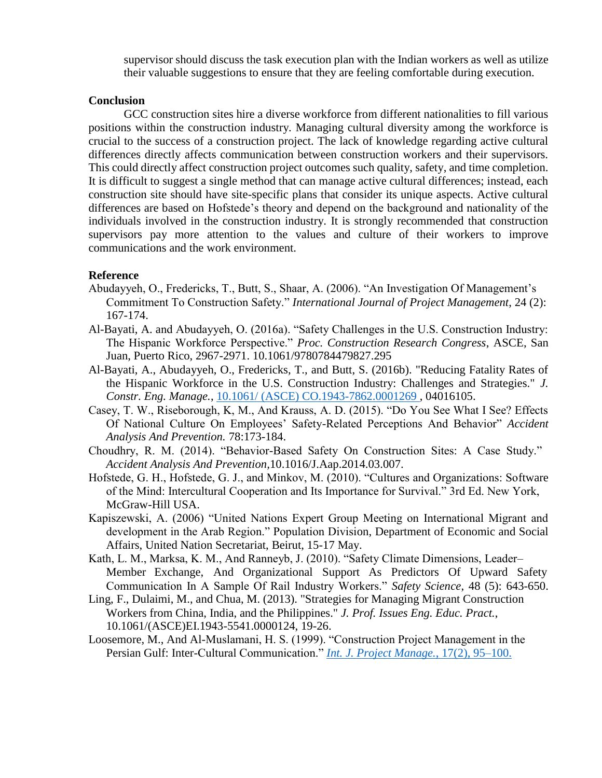supervisor should discuss the task execution plan with the Indian workers as well as utilize their valuable suggestions to ensure that they are feeling comfortable during execution.

#### **Conclusion**

GCC construction sites hire a diverse workforce from different nationalities to fill various positions within the construction industry. Managing cultural diversity among the workforce is crucial to the success of a construction project. The lack of knowledge regarding active cultural differences directly affects communication between construction workers and their supervisors. This could directly affect construction project outcomes such quality, safety, and time completion. It is difficult to suggest a single method that can manage active cultural differences; instead, each construction site should have site-specific plans that consider its unique aspects. Active cultural differences are based on Hofstede's theory and depend on the background and nationality of the individuals involved in the construction industry. It is strongly recommended that construction supervisors pay more attention to the values and culture of their workers to improve communications and the work environment.

## **Reference**

- Abudayyeh, O., Fredericks, T., Butt, S., Shaar, A. (2006). "An Investigation Of Management's Commitment To Construction Safety." *International Journal of Project Management*, 24 (2): 167-174.
- Al-Bayati, A. and Abudayyeh, O. (2016a). "Safety Challenges in the U.S. Construction Industry: The Hispanic Workforce Perspective." *Proc. Construction Research Congress*, ASCE, San Juan, Puerto Rico, 2967-2971. 10.1061/9780784479827.295
- Al-Bayati, A., Abudayyeh, O., Fredericks, T., and Butt, S. (2016b). "Reducing Fatality Rates of the Hispanic Workforce in the U.S. Construction Industry: Challenges and Strategies." *J. Constr. Eng. Manage.*, [10.1061/ \(ASCE\) CO.1943-7862.0001269 ,](http://ascelibrary.org/doi/abs/10.1061/%28ASCE%29CO.1943-7862.0001269) 04016105.
- Casey, T. W., Riseborough, K, M., And Krauss, A. D. (2015). "Do You See What I See? Effects Of National Culture On Employees' Safety-Related Perceptions And Behavior" *Accident Analysis And Prevention.* 78:173-184.
- Choudhry, R. M. (2014). "Behavior-Based Safety On Construction Sites: A Case Study." *Accident Analysis And Prevention,*10.1016/J.Aap.2014.03.007.
- Hofstede, G. H., Hofstede, G. J., and Minkov, M. (2010). "Cultures and Organizations: Software of the Mind: Intercultural Cooperation and Its Importance for Survival." 3rd Ed. New York, McGraw-Hill USA.
- Kapiszewski, A. (2006) "United Nations Expert Group Meeting on International Migrant and development in the Arab Region." Population Division, Department of Economic and Social Affairs, United Nation Secretariat, Beirut, 15-17 May.
- Kath, L. M., Marksa, K. M., And Ranneyb, J. (2010). "Safety Climate Dimensions, Leader– Member Exchange, And Organizational Support As Predictors Of Upward Safety Communication In A Sample Of Rail Industry Workers." *Safety Science*, 48 (5): 643-650.
- Ling, F., Dulaimi, M., and Chua, M. (2013). "Strategies for Managing Migrant Construction Workers from China, India, and the Philippines." *J. Prof. Issues Eng. Educ. Pract.*, 10.1061/(ASCE)EI.1943-5541.0000124, 19-26.
- Loosemore, M., And Al-Muslamani, H. S. (1999). "Construction Project Management in the Persian Gulf: Inter-Cultural Communication." *[Int. J. Project Manage.](http://dx.doi.org/10.1016/S0263-7863(98)00030-1)*, 17(2), 95–100.